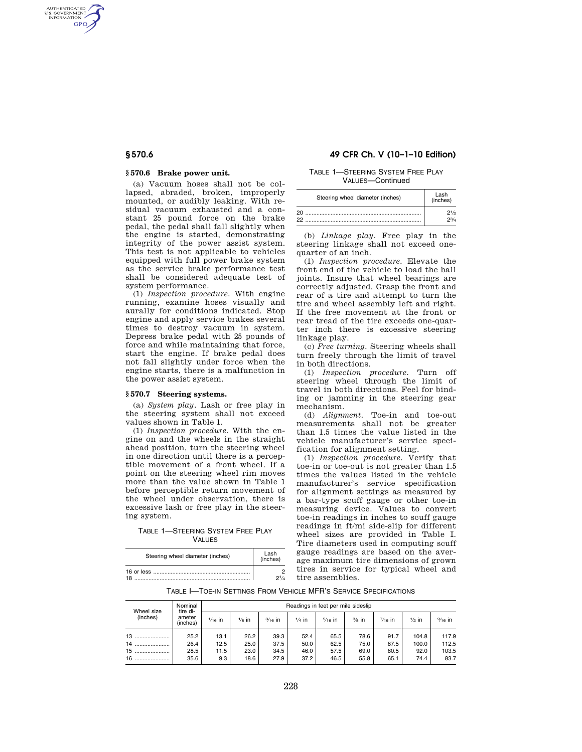AUTHENTICATED<br>U.S. GOVERNMENT<br>INFORMATION **GPO** 

#### **§ 570.6 Brake power unit.**

(a) Vacuum hoses shall not be collapsed, abraded, broken, improperly mounted, or audibly leaking. With residual vacuum exhausted and a constant 25 pound force on the brake pedal, the pedal shall fall slightly when the engine is started, demonstrating integrity of the power assist system. This test is not applicable to vehicles equipped with full power brake system as the service brake performance test shall be considered adequate test of system performance.

(1) *Inspection procedure.* With engine running, examine hoses visually and aurally for conditions indicated. Stop engine and apply service brakes several times to destroy vacuum in system. Depress brake pedal with 25 pounds of force and while maintaining that force, start the engine. If brake pedal does not fall slightly under force when the engine starts, there is a malfunction in the power assist system.

#### **§ 570.7 Steering systems.**

(a) *System play.* Lash or free play in the steering system shall not exceed values shown in Table 1.

(1) *Inspection procedure.* With the engine on and the wheels in the straight ahead position, turn the steering wheel in one direction until there is a perceptible movement of a front wheel. If a point on the steering wheel rim moves more than the value shown in Table 1 before perceptible return movement of the wheel under observation, there is excessive lash or free play in the steering system.

TABLE 1—STEERING SYSTEM FREE PLAY **VALUES** 

| Steering wheel diameter (inches) | Lash<br>(inches) |  |  |
|----------------------------------|------------------|--|--|
| 18                               | 21/4             |  |  |

## **§ 570.6 49 CFR Ch. V (10–1–10 Edition)**

TABLE 1—STEERING SYSTEM FREE PLAY VALUES—Continued

| Steering wheel diameter (inches) | Lash<br>(inches)  |  |  |  |
|----------------------------------|-------------------|--|--|--|
| 20<br>22                         | 21/2<br>$2^{3/4}$ |  |  |  |

(b) *Linkage play.* Free play in the steering linkage shall not exceed onequarter of an inch.

(1) *Inspection procedure.* Elevate the front end of the vehicle to load the ball joints. Insure that wheel bearings are correctly adjusted. Grasp the front and rear of a tire and attempt to turn the tire and wheel assembly left and right. If the free movement at the front or rear tread of the tire exceeds one-quarter inch there is excessive steering linkage play.

(c) *Free turning.* Steering wheels shall turn freely through the limit of travel in both directions.

(1) *Inspection procedure.* Turn off steering wheel through the limit of travel in both directions. Feel for binding or jamming in the steering gear mechanism.

(d) *Alignment.* Toe-in and toe-out measurements shall not be greater than 1.5 times the value listed in the vehicle manufacturer's service specification for alignment setting.

(1) *Inspection procedure.* Verify that toe-in or toe-out is not greater than 1.5 times the values listed in the vehicle manufacturer's service specification for alignment settings as measured by a bar-type scuff gauge or other toe-in measuring device. Values to convert toe-in readings in inches to scuff gauge readings in ft/mi side-slip for different wheel sizes are provided in Table I. Tire diameters used in computing scuff gauge readings are based on the average maximum tire dimensions of grown tires in service for typical wheel and tire assemblies.

TABLE I—TOE-IN SETTINGS FROM VEHICLE MFR'S SERVICE SPECIFICATIONS

| Wheel size<br>(inches) | Nominal<br>tire di- | Readings in feet per mile sideslip |                  |           |                  |           |          |                   |                  |           |
|------------------------|---------------------|------------------------------------|------------------|-----------|------------------|-----------|----------|-------------------|------------------|-----------|
|                        | ameter<br>(inches)  | $1/16$ in                          | $\frac{1}{8}$ in | $3/16$ in | $\frac{1}{4}$ in | $5/16$ in | $3/8$ in | $\frac{7}{16}$ in | $\frac{1}{2}$ in | $9/16$ in |
| 13                     | 25.2                | 13.1                               | 26.2             | 39.3      | 52.4             | 65.5      | 78.6     | 91.7              | 104.8            | 117.9     |
| 14                     | 26.4                | 12.5                               | 25.0             | 37.5      | 50.0             | 62.5      | 75.0     | 87.5              | 100.0            | 112.5     |
| 15                     | 28.5                | 11.5                               | 23.0             | 34.5      | 46.0             | 57.5      | 69.0     | 80.5              | 92.0             | 103.5     |
| 16                     | 35.6                | 9.3                                | 18.6             | 27.9      | 37.2             | 46.5      | 55.8     | 65.1              | 74.4             | 83.7      |